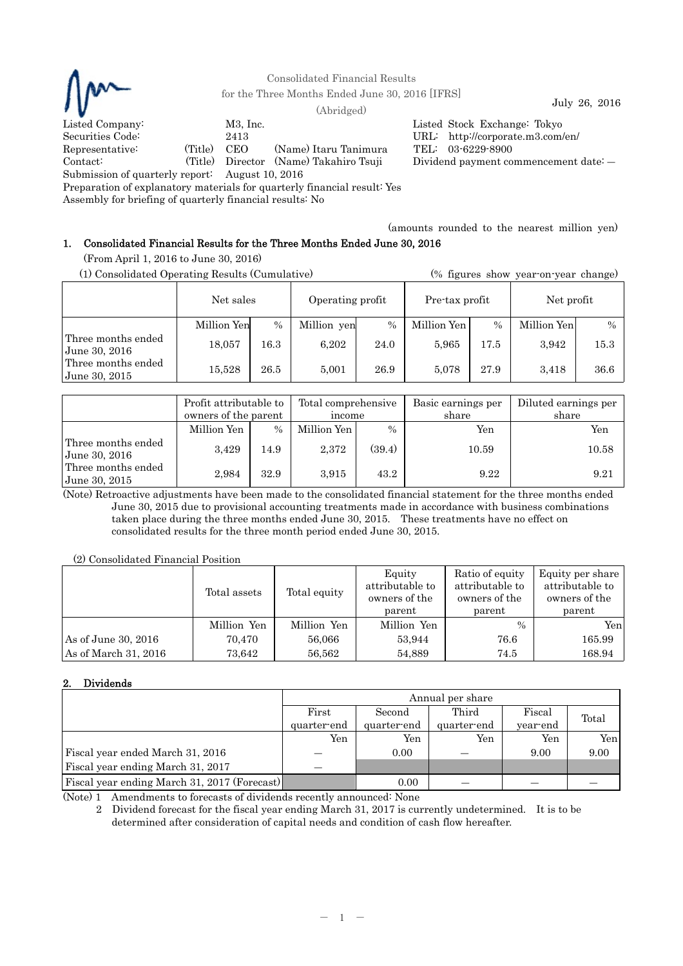

Consolidated Financial Results

for the Three Months Ended June 30, 2016 [IFRS] July 26, 2016 (Abridged)

Listed Company: M3, Inc. M3, Inc. Listed Stock Exchange: Tokyo Securities Code: 2413 URL: http://corporate.m3.com/  $L$  URL: http://corporate.m3.com/en/ Representative: (Title) CEO (Name) Itaru Tanimura TEL: 03-6229-8900 Contact: (Title) Director (Name) Takahiro Tsuji Dividend payment commencement date: ―

Submission of quarterly report: August 10, 2016

Preparation of explanatory materials for quarterly financial result: Yes

Assembly for briefing of quarterly financial results: No

(amounts rounded to the nearest million yen)

# 1. Consolidated Financial Results for the Three Months Ended June 30, 2016

(From April 1, 2016 to June 30, 2016)

| (1) Consolidated Operating Results (Cumulative) |             |          |                  | (% figures show year-on-year change) |                |      |             |               |
|-------------------------------------------------|-------------|----------|------------------|--------------------------------------|----------------|------|-------------|---------------|
|                                                 | Net sales   |          | Operating profit |                                      | Pre-tax profit |      | Net profit  |               |
|                                                 | Million Yen | $\%$     | Million yen      | $\%$                                 | Million Yen    | $\%$ | Million Yen | $\frac{0}{0}$ |
| Three months ended<br>June 30, 2016             | 18,057      | $16.3\,$ | 6,202            | 24.0                                 | 5.965          | 17.5 | 3,942       | 15.3          |
| Three months ended<br>June 30, 2015             | 15.528      | 26.5     | 5,001            | 26.9                                 | 5.078          | 27.9 | 3.418       | 36.6          |

|                                     | Profit attributable to<br>owners of the parent |      | Total comprehensive<br>income |        | Basic earnings per<br>share | Diluted earnings per<br>share |  |
|-------------------------------------|------------------------------------------------|------|-------------------------------|--------|-----------------------------|-------------------------------|--|
|                                     | Million Yen                                    | $\%$ | Million Yen                   | $\%$   | Yen                         | Yen                           |  |
| Three months ended<br>June 30, 2016 | 3,429                                          | 14.9 | 2,372                         | (39.4) | 10.59                       | 10.58                         |  |
| Three months ended<br>June 30, 2015 | 2,984                                          | 32.9 | 3,915                         | 43.2   | 9.22                        | 9.21                          |  |

(Note) Retroactive adjustments have been made to the consolidated financial statement for the three months ended June 30, 2015 due to provisional accounting treatments made in accordance with business combinations taken place during the three months ended June 30, 2015. These treatments have no effect on consolidated results for the three month period ended June 30, 2015.

(2) Consolidated Financial Position

|                      | Total assets | Total equity | Equity<br>attributable to<br>owners of the<br>parent | Ratio of equity<br>attributable to<br>owners of the<br>parent | Equity per share<br>attributable to<br>owners of the<br>parent |
|----------------------|--------------|--------------|------------------------------------------------------|---------------------------------------------------------------|----------------------------------------------------------------|
|                      | Million Yen  | Million Yen  | Million Yen                                          | $\%$                                                          | Yen                                                            |
| As of June 30, 2016  | 70.470       | 56,066       | 53.944                                               | 76.6                                                          | 165.99                                                         |
| As of March 31, 2016 | 73.642       | 56.562       | 54.889                                               | 74.5                                                          | 168.94                                                         |

## 2. Dividends

|                                              | Annual per share |             |             |          |       |  |  |
|----------------------------------------------|------------------|-------------|-------------|----------|-------|--|--|
|                                              | First            | Second      | Third       | Fiscal   | Total |  |  |
|                                              | quarter-end      | quarter-end | quarter-end | year-end |       |  |  |
|                                              | Yen              | Yen         | Yen         | Yen      | Yen   |  |  |
| Fiscal year ended March 31, 2016             |                  | 0.00        |             | 9.00     | 9.00  |  |  |
| Fiscal year ending March 31, 2017            |                  |             |             |          |       |  |  |
| Fiscal year ending March 31, 2017 (Forecast) |                  | 0.00        |             |          |       |  |  |

(Note) 1 Amendments to forecasts of dividends recently announced: None

2 Dividend forecast for the fiscal year ending March 31, 2017 is currently undetermined. It is to be determined after consideration of capital needs and condition of cash flow hereafter.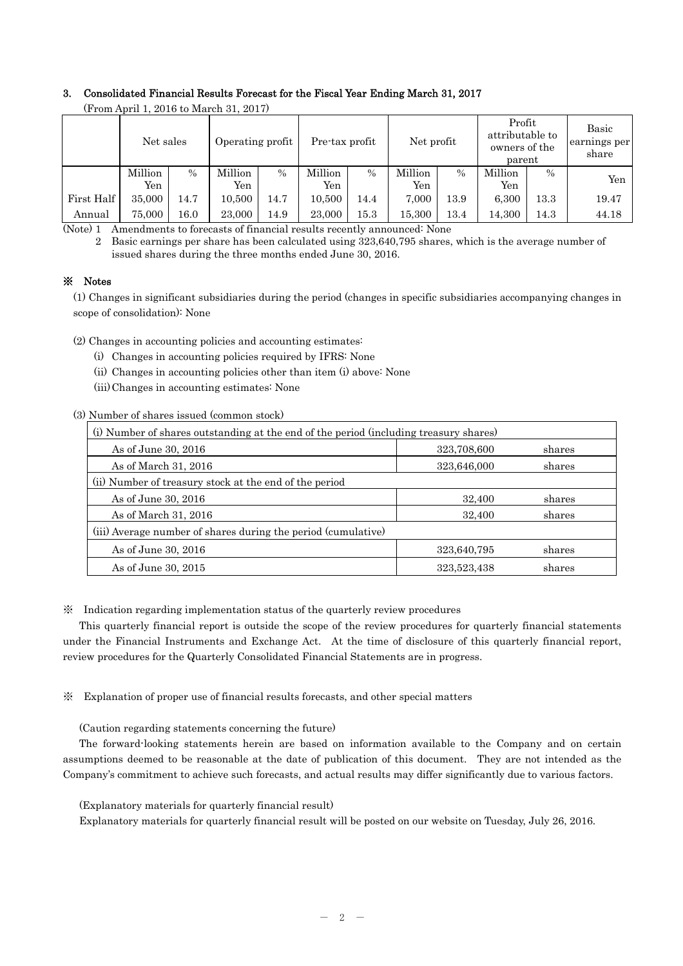## 3. Consolidated Financial Results Forecast for the Fiscal Year Ending March 31, 2017

| $(110 \text{m} \, \text{A} \text{m} \, \text{I})$ to march 31, 2017) |           |               |                  |               |                                                                                      |               |         |      |         |                                |       |
|----------------------------------------------------------------------|-----------|---------------|------------------|---------------|--------------------------------------------------------------------------------------|---------------|---------|------|---------|--------------------------------|-------|
|                                                                      | Net sales |               | Operating profit |               | Profit<br>attributable to<br>Net profit<br>Pre-tax profit<br>owners of the<br>parent |               |         |      |         | Basic<br>earnings per<br>share |       |
|                                                                      | Million   | $\frac{0}{0}$ | Million          | $\frac{0}{0}$ | Million                                                                              | $\frac{0}{0}$ | Million | $\%$ | Million | $\frac{0}{0}$                  | Yen   |
|                                                                      | Yen       |               | Yen              |               | Yen                                                                                  |               | Yen     |      | Yen     |                                |       |
| First Half                                                           | 35,000    | 14.7          | 10.500           | 14.7          | 10.500                                                                               | 14.4          | 7.000   | 13.9 | 6,300   | 13.3                           | 19.47 |
| Annual                                                               | 75,000    | 16.0          | 23,000           | 14.9          | 23,000                                                                               | 15.3          | 15,300  | 13.4 | 14,300  | 14.3                           | 44.18 |

(From April 1, 2016 to March 31, 2017)

(Note) 1 Amendments to forecasts of financial results recently announced: None

2 Basic earnings per share has been calculated using 323,640,795 shares, which is the average number of issued shares during the three months ended June 30, 2016.

## ※ Notes

(1) Changes in significant subsidiaries during the period (changes in specific subsidiaries accompanying changes in scope of consolidation): None

(2) Changes in accounting policies and accounting estimates:

- (i) Changes in accounting policies required by IFRS: None
- (ii) Changes in accounting policies other than item (i) above: None
- (iii) Changes in accounting estimates: None

(3) Number of shares issued (common stock)

| (i) Number of shares outstanding at the end of the period (including treasury shares) |             |        |  |  |  |
|---------------------------------------------------------------------------------------|-------------|--------|--|--|--|
| As of June 30, 2016                                                                   | 323,708,600 | shares |  |  |  |
| As of March 31, 2016                                                                  | 323,646,000 | shares |  |  |  |
| (ii) Number of treasury stock at the end of the period                                |             |        |  |  |  |
| As of June 30, 2016                                                                   | 32,400      | shares |  |  |  |
| As of March 31, 2016                                                                  | 32,400      | shares |  |  |  |
| (iii) Average number of shares during the period (cumulative)                         |             |        |  |  |  |
| As of June 30, 2016                                                                   | 323,640,795 | shares |  |  |  |
| As of June 30, 2015                                                                   | 323,523,438 | shares |  |  |  |

※ Indication regarding implementation status of the quarterly review procedures

This quarterly financial report is outside the scope of the review procedures for quarterly financial statements under the Financial Instruments and Exchange Act. At the time of disclosure of this quarterly financial report, review procedures for the Quarterly Consolidated Financial Statements are in progress.

※ Explanation of proper use of financial results forecasts, and other special matters

(Caution regarding statements concerning the future)

The forward-looking statements herein are based on information available to the Company and on certain assumptions deemed to be reasonable at the date of publication of this document. They are not intended as the Company's commitment to achieve such forecasts, and actual results may differ significantly due to various factors.

(Explanatory materials for quarterly financial result)

Explanatory materials for quarterly financial result will be posted on our website on Tuesday, July 26, 2016.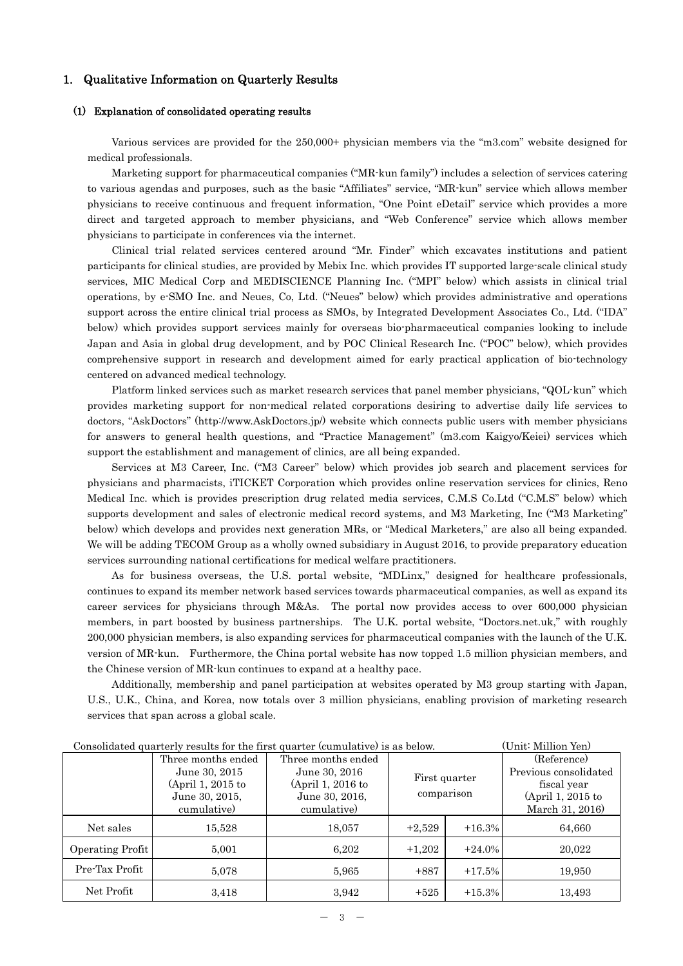## 1. Qualitative Information on Quarterly Results

#### (1) Explanation of consolidated operating results

Various services are provided for the 250,000+ physician members via the "m3.com" website designed for medical professionals.

Marketing support for pharmaceutical companies ("MR-kun family") includes a selection of services catering to various agendas and purposes, such as the basic "Affiliates" service, "MR-kun" service which allows member physicians to receive continuous and frequent information, "One Point eDetail" service which provides a more direct and targeted approach to member physicians, and "Web Conference" service which allows member physicians to participate in conferences via the internet.

Clinical trial related services centered around "Mr. Finder" which excavates institutions and patient participants for clinical studies, are provided by Mebix Inc. which provides IT supported large-scale clinical study services, MIC Medical Corp and MEDISCIENCE Planning Inc. ("MPI" below) which assists in clinical trial operations, by e-SMO Inc. and Neues, Co, Ltd. ("Neues" below) which provides administrative and operations support across the entire clinical trial process as SMOs, by Integrated Development Associates Co., Ltd. ("IDA" below) which provides support services mainly for overseas bio-pharmaceutical companies looking to include Japan and Asia in global drug development, and by POC Clinical Research Inc. ("POC" below), which provides comprehensive support in research and development aimed for early practical application of bio-technology centered on advanced medical technology.

Platform linked services such as market research services that panel member physicians, "QOL-kun" which provides marketing support for non-medical related corporations desiring to advertise daily life services to doctors, "AskDoctors" (http://www.AskDoctors.jp/) website which connects public users with member physicians for answers to general health questions, and "Practice Management" (m3.com Kaigyo/Keiei) services which support the establishment and management of clinics, are all being expanded.

Services at M3 Career, Inc. ("M3 Career" below) which provides job search and placement services for physicians and pharmacists, iTICKET Corporation which provides online reservation services for clinics, Reno Medical Inc. which is provides prescription drug related media services, C.M.S Co.Ltd ("C.M.S" below) which supports development and sales of electronic medical record systems, and M3 Marketing, Inc ("M3 Marketing" below) which develops and provides next generation MRs, or "Medical Marketers," are also all being expanded. We will be adding TECOM Group as a wholly owned subsidiary in August 2016, to provide preparatory education services surrounding national certifications for medical welfare practitioners.

As for business overseas, the U.S. portal website, "MDLinx," designed for healthcare professionals, continues to expand its member network based services towards pharmaceutical companies, as well as expand its career services for physicians through M&As. The portal now provides access to over 600,000 physician members, in part boosted by business partnerships. The U.K. portal website, "Doctors.net.uk," with roughly 200,000 physician members, is also expanding services for pharmaceutical companies with the launch of the U.K. version of MR-kun. Furthermore, the China portal website has now topped 1.5 million physician members, and the Chinese version of MR-kun continues to expand at a healthy pace.

Additionally, membership and panel participation at websites operated by M3 group starting with Japan, U.S., U.K., China, and Korea, now totals over 3 million physicians, enabling provision of marketing research services that span across a global scale.

|                  | Consonuated quarterly results for the first quarter (cumulative) is as below.<br><u>топне типнон тепт</u> |                                     |            |               |                                    |  |  |  |
|------------------|-----------------------------------------------------------------------------------------------------------|-------------------------------------|------------|---------------|------------------------------------|--|--|--|
|                  | Three months ended                                                                                        | Three months ended                  |            |               | (Reference)                        |  |  |  |
|                  | June 30, 2015                                                                                             | June 30, 2016                       |            | First quarter | Previous consolidated              |  |  |  |
|                  | (April 1, 2015 to<br>June 30, 2015,                                                                       | (April 1, 2016 to<br>June 30, 2016, | comparison |               | fiscal year<br>$(April 1, 2015$ to |  |  |  |
|                  | cumulative)                                                                                               | cumulative)                         |            |               | March 31, 2016)                    |  |  |  |
| Net sales        | 15.528                                                                                                    | 18,057                              | $+2,529$   | $+16.3%$      | 64,660                             |  |  |  |
| Operating Profit | 5,001                                                                                                     | 6,202                               | $+1,202$   | $+24.0\%$     | 20,022                             |  |  |  |
| Pre-Tax Profit   | 5,078                                                                                                     | 5,965                               | $+887$     | $+17.5%$      | 19,950                             |  |  |  |
| Net Profit       | 3,418                                                                                                     | 3,942                               | $+525$     | $+15.3%$      | 13,493                             |  |  |  |

Consolidated quarterly results for the first quarter (cumulative) is as below. (Unit: Million Yen)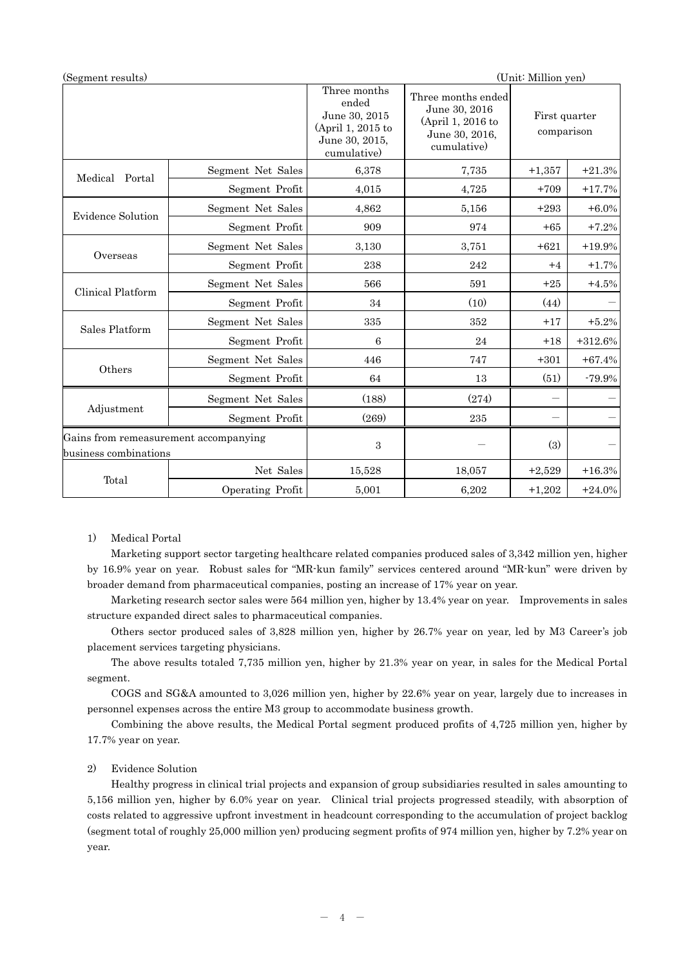| (Segment results)                                              |                   |                                                                                              |                                                                                           | (Unit: Million yen)         |           |
|----------------------------------------------------------------|-------------------|----------------------------------------------------------------------------------------------|-------------------------------------------------------------------------------------------|-----------------------------|-----------|
|                                                                |                   | Three months<br>ended<br>June 30, 2015<br>(April 1, 2015 to<br>June 30, 2015,<br>cumulative) | Three months ended<br>June 30, 2016<br>(April 1, 2016 to<br>June 30, 2016,<br>cumulative) | First quarter<br>comparison |           |
| Medical<br>Portal                                              | Segment Net Sales | 6,378                                                                                        | 7,735                                                                                     | $+1,357$                    | $+21.3%$  |
|                                                                | Segment Profit    | 4,015                                                                                        | 4,725                                                                                     | $+709$                      | $+17.7%$  |
| <b>Evidence Solution</b>                                       | Segment Net Sales | 4,862                                                                                        | 5,156                                                                                     | $+293$                      | $+6.0\%$  |
|                                                                | Segment Profit    | 909                                                                                          | 974                                                                                       | $+65$                       | $+7.2%$   |
|                                                                | Segment Net Sales | 3,130                                                                                        | 3,751                                                                                     | $+621$                      | $+19.9%$  |
| Overseas                                                       | Segment Profit    | 238                                                                                          | 242                                                                                       | $+4$                        | $+1.7%$   |
| Clinical Platform                                              | Segment Net Sales | 566                                                                                          | 591                                                                                       | $+25$                       | $+4.5%$   |
|                                                                | Segment Profit    | 34                                                                                           | (10)                                                                                      | (44)                        |           |
|                                                                | Segment Net Sales | 335                                                                                          | 352                                                                                       | $+17$                       | $+5.2%$   |
| Sales Platform                                                 | Segment Profit    | 6                                                                                            | 24                                                                                        | $+18$                       | $+312.6%$ |
|                                                                | Segment Net Sales | 446                                                                                          | 747                                                                                       | $+301$                      | $+67.4\%$ |
| Others                                                         | Segment Profit    | 64                                                                                           | 13                                                                                        | (51)                        | $-79.9%$  |
|                                                                | Segment Net Sales | (188)                                                                                        | (274)                                                                                     |                             |           |
| Adjustment                                                     | Segment Profit    | (269)                                                                                        | 235                                                                                       |                             |           |
| Gains from remeasurement accompanying<br>business combinations |                   | 3                                                                                            |                                                                                           | (3)                         |           |
|                                                                | Net Sales         | 15,528                                                                                       | 18,057                                                                                    | $+2,529$                    | $+16.3%$  |
| Total                                                          | Operating Profit  | 5,001                                                                                        | 6,202                                                                                     | $+1,202$                    | $+24.0%$  |

## 1) Medical Portal

Marketing support sector targeting healthcare related companies produced sales of 3,342 million yen, higher by 16.9% year on year. Robust sales for "MR-kun family" services centered around "MR-kun" were driven by broader demand from pharmaceutical companies, posting an increase of 17% year on year.

Marketing research sector sales were 564 million yen, higher by 13.4% year on year. Improvements in sales structure expanded direct sales to pharmaceutical companies.

Others sector produced sales of 3,828 million yen, higher by 26.7% year on year, led by M3 Career's job placement services targeting physicians.

The above results totaled 7,735 million yen, higher by 21.3% year on year, in sales for the Medical Portal segment.

 COGS and SG&A amounted to 3,026 million yen, higher by 22.6% year on year, largely due to increases in personnel expenses across the entire M3 group to accommodate business growth.

 Combining the above results, the Medical Portal segment produced profits of 4,725 million yen, higher by 17.7% year on year.

### 2) Evidence Solution

Healthy progress in clinical trial projects and expansion of group subsidiaries resulted in sales amounting to 5,156 million yen, higher by 6.0% year on year. Clinical trial projects progressed steadily, with absorption of costs related to aggressive upfront investment in headcount corresponding to the accumulation of project backlog (segment total of roughly 25,000 million yen) producing segment profits of 974 million yen, higher by 7.2% year on year.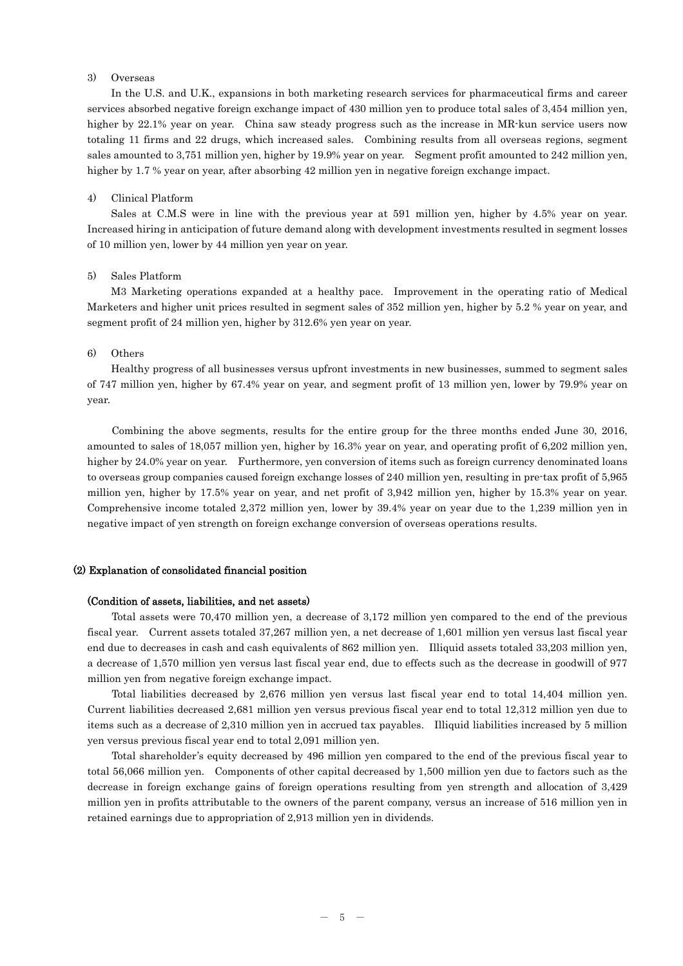## 3) Overseas

In the U.S. and U.K., expansions in both marketing research services for pharmaceutical firms and career services absorbed negative foreign exchange impact of 430 million yen to produce total sales of 3,454 million yen, higher by 22.1% year on year. China saw steady progress such as the increase in MR-kun service users now totaling 11 firms and 22 drugs, which increased sales. Combining results from all overseas regions, segment sales amounted to 3,751 million yen, higher by 19.9% year on year. Segment profit amounted to 242 million yen, higher by 1.7 % year on year, after absorbing 42 million yen in negative foreign exchange impact.

#### 4) Clinical Platform

Sales at C.M.S were in line with the previous year at 591 million yen, higher by 4.5% year on year. Increased hiring in anticipation of future demand along with development investments resulted in segment losses of 10 million yen, lower by 44 million yen year on year.

#### 5) Sales Platform

M3 Marketing operations expanded at a healthy pace. Improvement in the operating ratio of Medical Marketers and higher unit prices resulted in segment sales of 352 million yen, higher by 5.2 % year on year, and segment profit of 24 million yen, higher by 312.6% yen year on year.

#### 6) Others

Healthy progress of all businesses versus upfront investments in new businesses, summed to segment sales of 747 million yen, higher by 67.4% year on year, and segment profit of 13 million yen, lower by 79.9% year on year.

Combining the above segments, results for the entire group for the three months ended June 30, 2016, amounted to sales of 18,057 million yen, higher by 16.3% year on year, and operating profit of 6,202 million yen, higher by 24.0% year on year. Furthermore, yen conversion of items such as foreign currency denominated loans to overseas group companies caused foreign exchange losses of 240 million yen, resulting in pre-tax profit of 5,965 million yen, higher by 17.5% year on year, and net profit of 3,942 million yen, higher by 15.3% year on year. Comprehensive income totaled 2,372 million yen, lower by 39.4% year on year due to the 1,239 million yen in negative impact of yen strength on foreign exchange conversion of overseas operations results.

### (2) Explanation of consolidated financial position

#### (Condition of assets, liabilities, and net assets)

Total assets were 70,470 million yen, a decrease of 3,172 million yen compared to the end of the previous fiscal year. Current assets totaled 37,267 million yen, a net decrease of 1,601 million yen versus last fiscal year end due to decreases in cash and cash equivalents of 862 million yen. Illiquid assets totaled 33,203 million yen, a decrease of 1,570 million yen versus last fiscal year end, due to effects such as the decrease in goodwill of 977 million yen from negative foreign exchange impact.

Total liabilities decreased by 2,676 million yen versus last fiscal year end to total 14,404 million yen. Current liabilities decreased 2,681 million yen versus previous fiscal year end to total 12,312 million yen due to items such as a decrease of 2,310 million yen in accrued tax payables. Illiquid liabilities increased by 5 million yen versus previous fiscal year end to total 2,091 million yen.

Total shareholder's equity decreased by 496 million yen compared to the end of the previous fiscal year to total 56,066 million yen. Components of other capital decreased by 1,500 million yen due to factors such as the decrease in foreign exchange gains of foreign operations resulting from yen strength and allocation of 3,429 million yen in profits attributable to the owners of the parent company, versus an increase of 516 million yen in retained earnings due to appropriation of 2,913 million yen in dividends.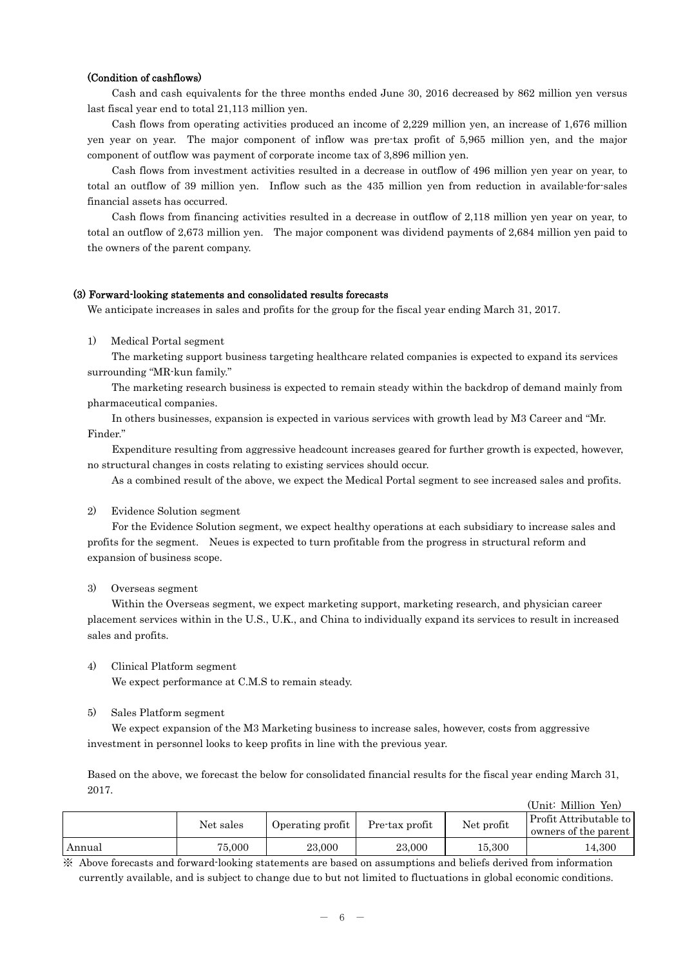#### (Condition of cashflows)

Cash and cash equivalents for the three months ended June 30, 2016 decreased by 862 million yen versus last fiscal year end to total 21,113 million yen.

Cash flows from operating activities produced an income of 2,229 million yen, an increase of 1,676 million yen year on year. The major component of inflow was pre-tax profit of 5,965 million yen, and the major component of outflow was payment of corporate income tax of 3,896 million yen.

Cash flows from investment activities resulted in a decrease in outflow of 496 million yen year on year, to total an outflow of 39 million yen. Inflow such as the 435 million yen from reduction in available-for-sales financial assets has occurred.

Cash flows from financing activities resulted in a decrease in outflow of 2,118 million yen year on year, to total an outflow of 2,673 million yen. The major component was dividend payments of 2,684 million yen paid to the owners of the parent company.

#### (3) Forward-looking statements and consolidated results forecasts

We anticipate increases in sales and profits for the group for the fiscal year ending March 31, 2017.

1) Medical Portal segment

The marketing support business targeting healthcare related companies is expected to expand its services surrounding "MR-kun family."

The marketing research business is expected to remain steady within the backdrop of demand mainly from pharmaceutical companies.

In others businesses, expansion is expected in various services with growth lead by M3 Career and "Mr. Finder."

Expenditure resulting from aggressive headcount increases geared for further growth is expected, however, no structural changes in costs relating to existing services should occur.

As a combined result of the above, we expect the Medical Portal segment to see increased sales and profits.

#### 2) Evidence Solution segment

For the Evidence Solution segment, we expect healthy operations at each subsidiary to increase sales and profits for the segment. Neues is expected to turn profitable from the progress in structural reform and expansion of business scope.

#### 3) Overseas segment

Within the Overseas segment, we expect marketing support, marketing research, and physician career placement services within in the U.S., U.K., and China to individually expand its services to result in increased sales and profits.

4) Clinical Platform segment

We expect performance at C.M.S to remain steady.

#### 5) Sales Platform segment

We expect expansion of the M3 Marketing business to increase sales, however, costs from aggressive investment in personnel looks to keep profits in line with the previous year.

Based on the above, we forecast the below for consolidated financial results for the fiscal year ending March 31, 2017.

|        |           |                  |                |            | (Unit: Million Yen)                            |
|--------|-----------|------------------|----------------|------------|------------------------------------------------|
|        | Net sales | Operating profit | Pre-tax profit | Net profit | Profit Attributable to<br>owners of the parent |
| Annual | 75,000    | 23,000           | 23,000         | 15.300     | 14.300                                         |

※ Above forecasts and forward-looking statements are based on assumptions and beliefs derived from information currently available, and is subject to change due to but not limited to fluctuations in global economic conditions.